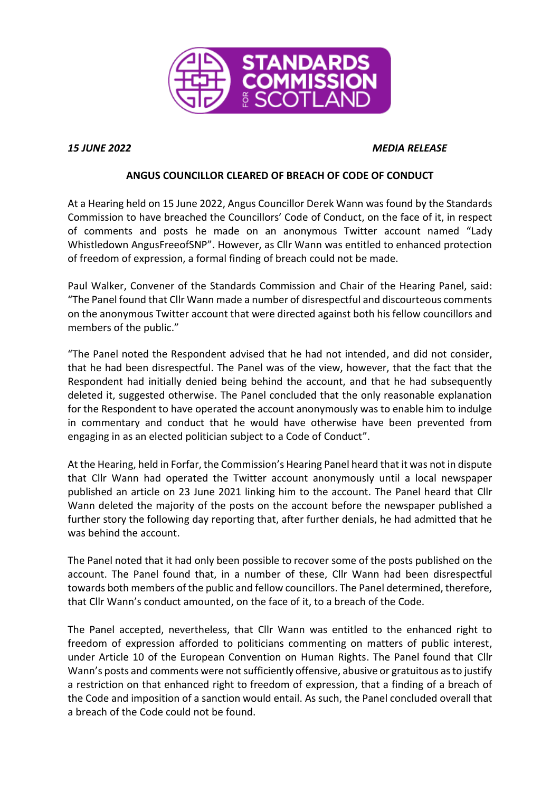

## *15 JUNE 2022 MEDIA RELEASE*

## **ANGUS COUNCILLOR CLEARED OF BREACH OF CODE OF CONDUCT**

At a Hearing held on 15 June 2022, Angus Councillor Derek Wann was found by the Standards Commission to have breached the Councillors' Code of Conduct, on the face of it, in respect of comments and posts he made on an anonymous Twitter account named "Lady Whistledown AngusFreeofSNP". However, as Cllr Wann was entitled to enhanced protection of freedom of expression, a formal finding of breach could not be made.

Paul Walker, Convener of the Standards Commission and Chair of the Hearing Panel, said: "The Panel found that Cllr Wann made a number of disrespectful and discourteous comments on the anonymous Twitter account that were directed against both his fellow councillors and members of the public."

"The Panel noted the Respondent advised that he had not intended, and did not consider, that he had been disrespectful. The Panel was of the view, however, that the fact that the Respondent had initially denied being behind the account, and that he had subsequently deleted it, suggested otherwise. The Panel concluded that the only reasonable explanation for the Respondent to have operated the account anonymously was to enable him to indulge in commentary and conduct that he would have otherwise have been prevented from engaging in as an elected politician subject to a Code of Conduct".

At the Hearing, held in Forfar, the Commission's Hearing Panel heard that it was not in dispute that Cllr Wann had operated the Twitter account anonymously until a local newspaper published an article on 23 June 2021 linking him to the account. The Panel heard that Cllr Wann deleted the majority of the posts on the account before the newspaper published a further story the following day reporting that, after further denials, he had admitted that he was behind the account.

The Panel noted that it had only been possible to recover some of the posts published on the account. The Panel found that, in a number of these, Cllr Wann had been disrespectful towards both members of the public and fellow councillors. The Panel determined, therefore, that Cllr Wann's conduct amounted, on the face of it, to a breach of the Code.

The Panel accepted, nevertheless, that Cllr Wann was entitled to the enhanced right to freedom of expression afforded to politicians commenting on matters of public interest, under Article 10 of the European Convention on Human Rights. The Panel found that Cllr Wann's posts and comments were not sufficiently offensive, abusive or gratuitous as to justify a restriction on that enhanced right to freedom of expression, that a finding of a breach of the Code and imposition of a sanction would entail. As such, the Panel concluded overall that a breach of the Code could not be found.